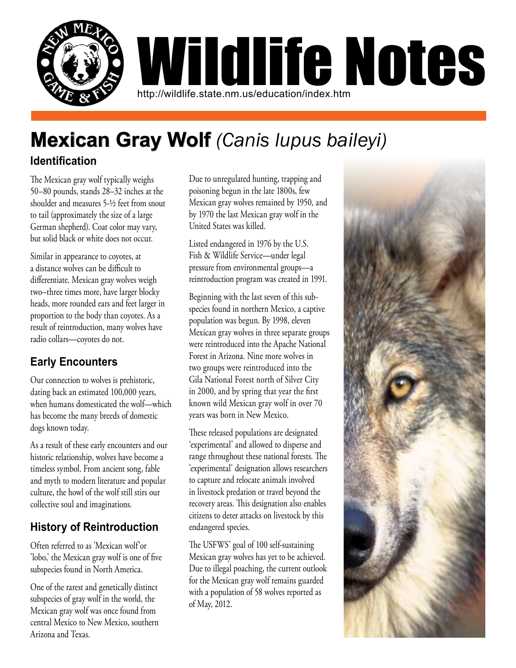

# **Mexican Gray Wolf** *(Canis lupus baileyi)*

### **Identification**

The Mexican gray wolf typically weighs 50–80 pounds, stands 28–32 inches at the shoulder and measures 5-½ feet from snout to tail (approximately the size of a large German shepherd). Coat color may vary, but solid black or white does not occur.

Similar in appearance to coyotes, at a distance wolves can be difficult to differentiate. Mexican gray wolves weigh two–three times more, have larger blocky heads, more rounded ears and feet larger in proportion to the body than coyotes. As a result of reintroduction, many wolves have radio collars—coyotes do not.

## **Early Encounters**

Our connection to wolves is prehistoric, dating back an estimated 100,000 years, when humans domesticated the wolf—which has become the many breeds of domestic dogs known today.

As a result of these early encounters and our historic relationship, wolves have become a timeless symbol. From ancient song, fable and myth to modern literature and popular culture, the howl of the wolf still stirs our collective soul and imaginations.

## **History of Reintroduction**

Often referred to as 'Mexican wolf'or 'lobo,' the Mexican gray wolf is one of five subspecies found in North America.

One of the rarest and genetically distinct subspecies of gray wolf in the world, the Mexican gray wolf was once found from central Mexico to New Mexico, southern Arizona and Texas.

Due to unregulated hunting, trapping and poisoning begun in the late 1800s, few Mexican gray wolves remained by 1950, and by 1970 the last Mexican gray wolf in the United States was killed.

Listed endangered in 1976 by the U.S. Fish & Wildlife Service—under legal pressure from environmental groups—a reintroduction program was created in 1991.

Beginning with the last seven of this subspecies found in northern Mexico, a captive population was begun. By 1998, eleven Mexican gray wolves in three separate groups were reintroduced into the Apache National Forest in Arizona. Nine more wolves in two groups were reintroduced into the Gila National Forest north of Silver City in 2000, and by spring that year the first known wild Mexican gray wolf in over 70 years was born in New Mexico.

These released populations are designated 'experimental' and allowed to disperse and range throughout these national forests. The 'experimental' designation allows researchers to capture and relocate animals involved in livestock predation or travel beyond the recovery areas. This designation also enables citizens to deter attacks on livestock by this endangered species.

The USFWS' goal of 100 self-sustaining Mexican gray wolves has yet to be achieved. Due to illegal poaching, the current outlook for the Mexican gray wolf remains guarded with a population of 58 wolves reported as of May, 2012.